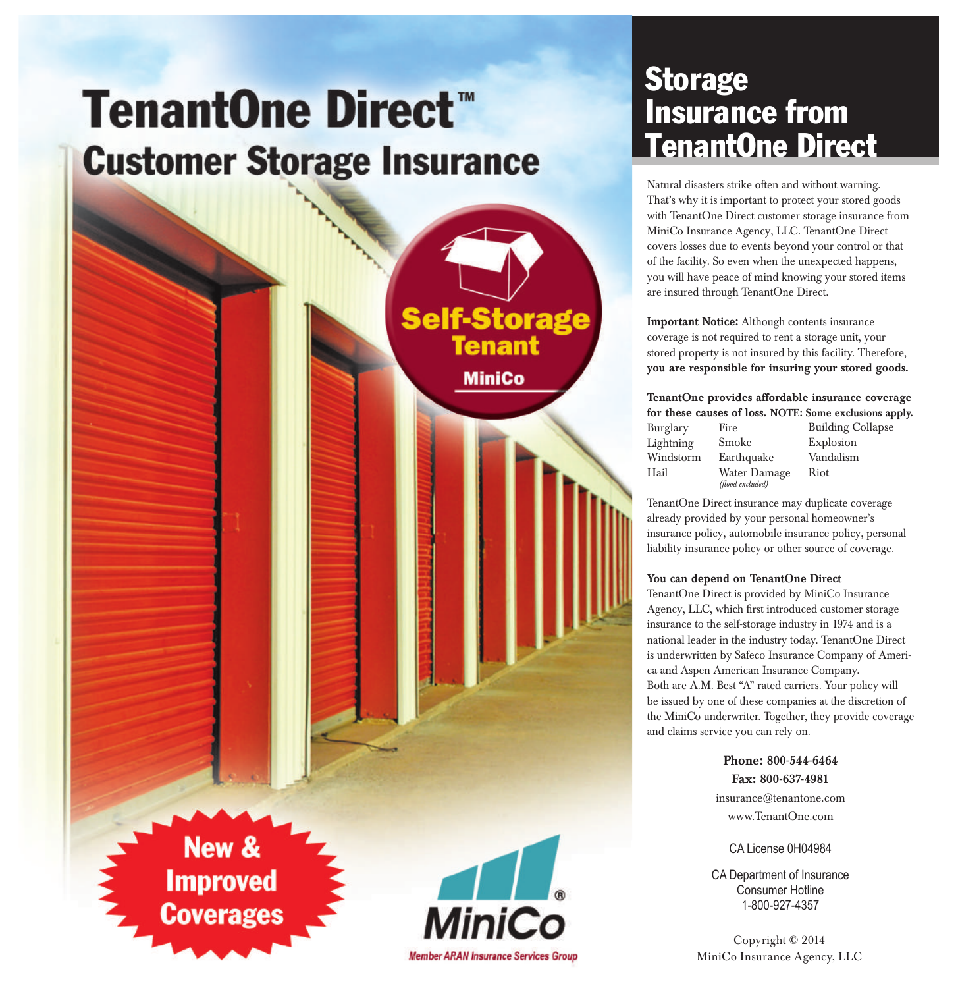# **TenantOne Direct™ Customer Storage Insurance**



### **Storage** Insurance from TenantOne Direct

Natural disasters strike often and without warning. That's why it is important to protect your stored goods with TenantOne Direct customer storage insurance from MiniCo Insurance Agency, LLC. TenantOne Direct covers losses due to events beyond your control or that of the facility. So even when the unexpected happens, you will have peace of mind knowing your stored items are insured through TenantOne Direct.

Important Notice: Although contents insurance coverage is not required to rent a storage unit, your stored property is not insured by this facility. Therefore, you are responsible for insuring your stored goods.

#### TenantOne provides affordable insurance coverage for these causes of loss. NOTE: Some exclusions apply.

| Burglary  | Fire             | <b>Building Collapse</b> |
|-----------|------------------|--------------------------|
| Lightning | Smoke            | Explosion                |
| Windstorm | Earthquake       | Vandalism                |
| Hail      | Water Damage     | Riot                     |
|           | (flood excluded) |                          |

TenantOne Direct insurance may duplicate coverage already provided by your personal homeowner's insurance policy, automobile insurance policy, personal liability insurance policy or other source of coverage.

#### You can depend on TenantOne Direct

TenantOne Direct is provided by MiniCo Insurance Agency, LLC, which first introduced customer storage insurance to the self-storage industry in 1974 and is a national leader in the industry today. TenantOne Direct is underwritten by Safeco Insurance Company of America and Aspen American Insurance Company. Both are A.M. Best "A" rated carriers. Your policy will be issued by one of these companies at the discretion of the MiniCo underwriter. Together, they provide coverage and claims service you can rely on.

> Phone: 800-544-6464 Fax: 800-637-4981

insurance@tenantone.com www.TenantOne.com

CA License 0H04984

CA Department of Insurance Consumer Hotline 1-800-927-4357

Copyright © 2014 MiniCo Insurance Agency, LLC